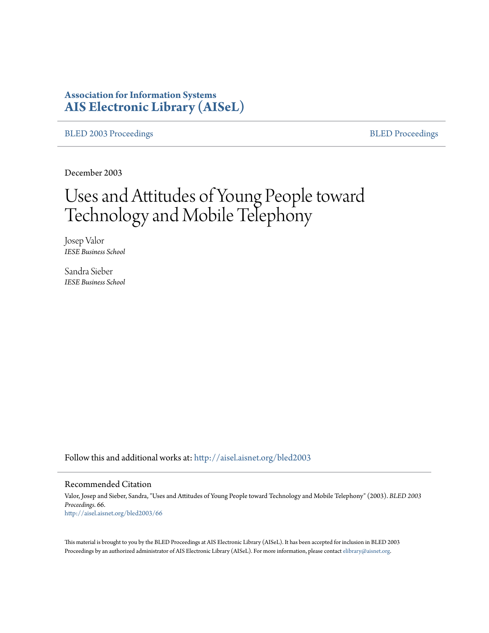## **Association for Information Systems [AIS Electronic Library \(AISeL\)](http://aisel.aisnet.org?utm_source=aisel.aisnet.org%2Fbled2003%2F66&utm_medium=PDF&utm_campaign=PDFCoverPages)**

[BLED 2003 Proceedings](http://aisel.aisnet.org/bled2003?utm_source=aisel.aisnet.org%2Fbled2003%2F66&utm_medium=PDF&utm_campaign=PDFCoverPages) **[BLED Proceedings](http://aisel.aisnet.org/bled?utm_source=aisel.aisnet.org%2Fbled2003%2F66&utm_medium=PDF&utm_campaign=PDFCoverPages)** 

December 2003

# Uses and Attitudes of Young People toward Technology and Mobile Telephony

Josep Valor *IESE Business School*

Sandra Sieber *IESE Business School*

Follow this and additional works at: [http://aisel.aisnet.org/bled2003](http://aisel.aisnet.org/bled2003?utm_source=aisel.aisnet.org%2Fbled2003%2F66&utm_medium=PDF&utm_campaign=PDFCoverPages)

#### Recommended Citation

Valor, Josep and Sieber, Sandra, "Uses and Attitudes of Young People toward Technology and Mobile Telephony" (2003). *BLED 2003 Proceedings*. 66. [http://aisel.aisnet.org/bled2003/66](http://aisel.aisnet.org/bled2003/66?utm_source=aisel.aisnet.org%2Fbled2003%2F66&utm_medium=PDF&utm_campaign=PDFCoverPages)

This material is brought to you by the BLED Proceedings at AIS Electronic Library (AISeL). It has been accepted for inclusion in BLED 2003 Proceedings by an authorized administrator of AIS Electronic Library (AISeL). For more information, please contact [elibrary@aisnet.org](mailto:elibrary@aisnet.org%3E).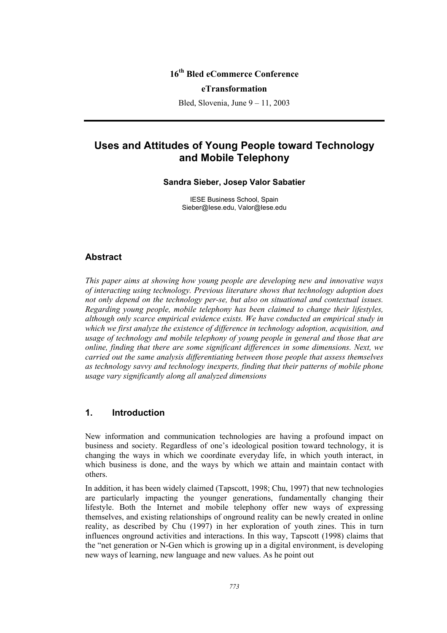### **16th Bled eCommerce Conference**

#### **eTransformation**

Bled, Slovenia, June 9 – 11, 2003

## **Uses and Attitudes of Young People toward Technology and Mobile Telephony**

#### **Sandra Sieber, Josep Valor Sabatier**

IESE Business School, Spain Sieber@Iese.edu, Valor@Iese.edu

#### **Abstract**

*This paper aims at showing how young people are developing new and innovative ways of interacting using technology. Previous literature shows that technology adoption does not only depend on the technology per-se, but also on situational and contextual issues. Regarding young people, mobile telephony has been claimed to change their lifestyles, although only scarce empirical evidence exists. We have conducted an empirical study in which we first analyze the existence of difference in technology adoption, acquisition, and usage of technology and mobile telephony of young people in general and those that are online, finding that there are some significant differences in some dimensions. Next, we carried out the same analysis differentiating between those people that assess themselves as technology savvy and technology inexperts, finding that their patterns of mobile phone usage vary significantly along all analyzed dimensions* 

#### **1. Introduction**

New information and communication technologies are having a profound impact on business and society. Regardless of one's ideological position toward technology, it is changing the ways in which we coordinate everyday life, in which youth interact, in which business is done, and the ways by which we attain and maintain contact with others.

In addition, it has been widely claimed (Tapscott, 1998; Chu, 1997) that new technologies are particularly impacting the younger generations, fundamentally changing their lifestyle. Both the Internet and mobile telephony offer new ways of expressing themselves, and existing relationships of onground reality can be newly created in online reality, as described by Chu (1997) in her exploration of youth zines. This in turn influences onground activities and interactions. In this way, Tapscott (1998) claims that the "net generation or N-Gen which is growing up in a digital environment, is developing new ways of learning, new language and new values. As he point out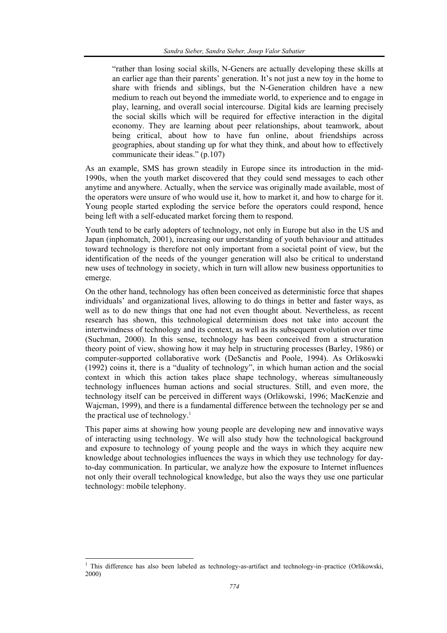"rather than losing social skills, N-Geners are actually developing these skills at an earlier age than their parents' generation. It's not just a new toy in the home to share with friends and siblings, but the N-Generation children have a new medium to reach out beyond the immediate world, to experience and to engage in play, learning, and overall social intercourse. Digital kids are learning precisely the social skills which will be required for effective interaction in the digital economy. They are learning about peer relationships, about teamwork, about being critical, about how to have fun online, about friendships across geographies, about standing up for what they think, and about how to effectively communicate their ideas." (p.107)

As an example, SMS has grown steadily in Europe since its introduction in the mid-1990s, when the youth market discovered that they could send messages to each other anytime and anywhere. Actually, when the service was originally made available, most of the operators were unsure of who would use it, how to market it, and how to charge for it. Young people started exploding the service before the operators could respond, hence being left with a self-educated market forcing them to respond.

Youth tend to be early adopters of technology, not only in Europe but also in the US and Japan (inphomatch, 2001), increasing our understanding of youth behaviour and attitudes toward technology is therefore not only important from a societal point of view, but the identification of the needs of the younger generation will also be critical to understand new uses of technology in society, which in turn will allow new business opportunities to emerge.

On the other hand, technology has often been conceived as deterministic force that shapes individuals' and organizational lives, allowing to do things in better and faster ways, as well as to do new things that one had not even thought about. Nevertheless, as recent research has shown, this technological determinism does not take into account the intertwindness of technology and its context, as well as its subsequent evolution over time (Suchman, 2000). In this sense, technology has been conceived from a structuration theory point of view, showing how it may help in structuring processes (Barley, 1986) or computer-supported collaborative work (DeSanctis and Poole, 1994). As Orlikoswki (1992) coins it, there is a "duality of technology", in which human action and the social context in which this action takes place shape technology, whereas simultaneously technology influences human actions and social structures. Still, and even more, the technology itself can be perceived in different ways (Orlikowski, 1996; MacKenzie and Wajcman, 1999), and there is a fundamental difference between the technology per se and the practical use of technology.<sup>1</sup>

This paper aims at showing how young people are developing new and innovative ways of interacting using technology. We will also study how the technological background and exposure to technology of young people and the ways in which they acquire new knowledge about technologies influences the ways in which they use technology for dayto-day communication. In particular, we analyze how the exposure to Internet influences not only their overall technological knowledge, but also the ways they use one particular technology: mobile telephony.

 1 This difference has also been labeled as technology-as-artifact and technology-in–practice (Orlikowski, 2000)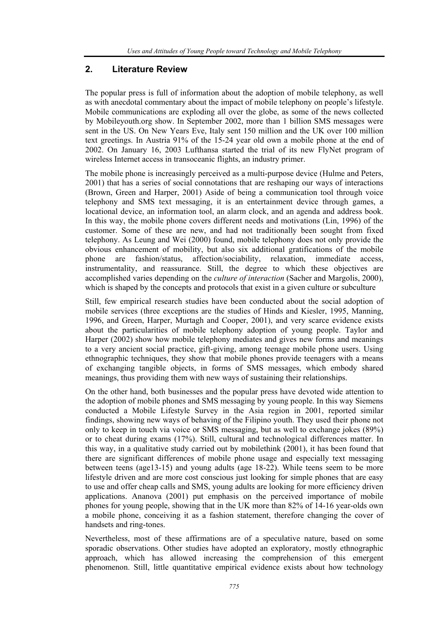#### **2. Literature Review**

The popular press is full of information about the adoption of mobile telephony, as well as with anecdotal commentary about the impact of mobile telephony on people's lifestyle. Mobile communications are exploding all over the globe, as some of the news collected by Mobileyouth.org show. In September 2002, more than 1 billion SMS messages were sent in the US. On New Years Eve, Italy sent 150 million and the UK over 100 million text greetings. In Austria 91% of the 15-24 year old own a mobile phone at the end of 2002. On January 16, 2003 Lufthansa started the trial of its new FlyNet program of wireless Internet access in transoceanic flights, an industry primer.

The mobile phone is increasingly perceived as a multi-purpose device (Hulme and Peters, 2001) that has a series of social connotations that are reshaping our ways of interactions (Brown, Green and Harper, 2001) Aside of being a communication tool through voice telephony and SMS text messaging, it is an entertainment device through games, a locational device, an information tool, an alarm clock, and an agenda and address book. In this way, the mobile phone covers different needs and motivations (Lin, 1996) of the customer. Some of these are new, and had not traditionally been sought from fixed telephony. As Leung and Wei (2000) found, mobile telephony does not only provide the obvious enhancement of mobility, but also six additional gratifications of the mobile phone are fashion/status, affection/sociability, relaxation, immediate access, instrumentality, and reassurance. Still, the degree to which these objectives are accomplished varies depending on the *culture of interaction* (Sacher and Margolis, 2000), which is shaped by the concepts and protocols that exist in a given culture or subculture

Still, few empirical research studies have been conducted about the social adoption of mobile services (three exceptions are the studies of Hinds and Kiesler, 1995, Manning, 1996, and Green, Harper, Murtagh and Cooper, 2001), and very scarce evidence exists about the particularities of mobile telephony adoption of young people. Taylor and Harper (2002) show how mobile telephony mediates and gives new forms and meanings to a very ancient social practice, gift-giving, among teenage mobile phone users. Using ethnographic techniques, they show that mobile phones provide teenagers with a means of exchanging tangible objects, in forms of SMS messages, which embody shared meanings, thus providing them with new ways of sustaining their relationships.

On the other hand, both businesses and the popular press have devoted wide attention to the adoption of mobile phones and SMS messaging by young people. In this way Siemens conducted a Mobile Lifestyle Survey in the Asia region in 2001, reported similar findings, showing new ways of behaving of the Filipino youth. They used their phone not only to keep in touch via voice or SMS messaging, but as well to exchange jokes (89%) or to cheat during exams (17%). Still, cultural and technological differences matter. In this way, in a qualitative study carried out by mobilethink (2001), it has been found that there are significant differences of mobile phone usage and especially text messaging between teens (age13-15) and young adults (age 18-22). While teens seem to be more lifestyle driven and are more cost conscious just looking for simple phones that are easy to use and offer cheap calls and SMS, young adults are looking for more efficiency driven applications. Ananova (2001) put emphasis on the perceived importance of mobile phones for young people, showing that in the UK more than 82% of 14-16 year-olds own a mobile phone, conceiving it as a fashion statement, therefore changing the cover of handsets and ring-tones.

Nevertheless, most of these affirmations are of a speculative nature, based on some sporadic observations. Other studies have adopted an exploratory, mostly ethnographic approach, which has allowed increasing the comprehension of this emergent phenomenon. Still, little quantitative empirical evidence exists about how technology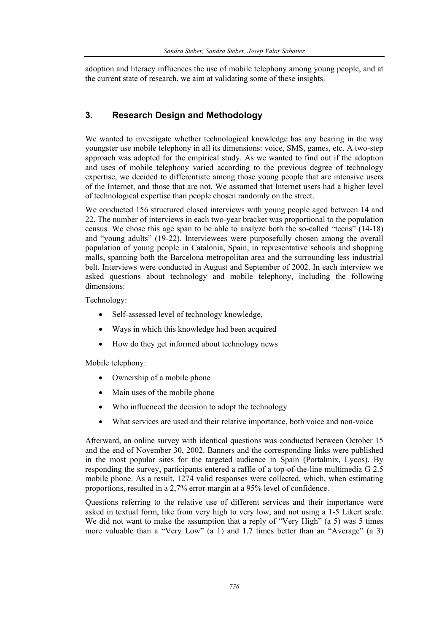adoption and literacy influences the use of mobile telephony among young people, and at the current state of research, we aim at validating some of these insights.

### **3. Research Design and Methodology**

We wanted to investigate whether technological knowledge has any bearing in the way youngster use mobile telephony in all its dimensions: voice, SMS, games, etc. A two-step approach was adopted for the empirical study. As we wanted to find out if the adoption and uses of mobile telephony varied according to the previous degree of technology expertise, we decided to differentiate among those young people that are intensive users of the Internet, and those that are not. We assumed that Internet users had a higher level of technological expertise than people chosen randomly on the street.

We conducted 156 structured closed interviews with young people aged between 14 and 22. The number of interviews in each two-year bracket was proportional to the population census. We chose this age span to be able to analyze both the so-called "teens" (14-18) and "young adults" (19-22). Interviewees were purposefully chosen among the overall population of young people in Catalonia, Spain, in representative schools and shopping malls, spanning both the Barcelona metropolitan area and the surrounding less industrial belt. Interviews were conducted in August and September of 2002. In each interview we asked questions about technology and mobile telephony, including the following dimensions:

Technology:

- Self-assessed level of technology knowledge,
- Ways in which this knowledge had been acquired
- How do they get informed about technology news

Mobile telephony:

- Ownership of a mobile phone
- Main uses of the mobile phone
- Who influenced the decision to adopt the technology
- What services are used and their relative importance, both voice and non-voice

Afterward, an online survey with identical questions was conducted between October 15 and the end of November 30, 2002. Banners and the corresponding links were published in the most popular sites for the targeted audience in Spain (Portalmix, Lycos). By responding the survey, participants entered a raffle of a top-of-the-line multimedia G 2.5 mobile phone. As a result, 1274 valid responses were collected, which, when estimating proportions, resulted in a 2,7% error margin at a 95% level of confidence.

Questions referring to the relative use of different services and their importance were asked in textual form, like from very high to very low, and not using a 1-5 Likert scale. We did not want to make the assumption that a reply of "Very High" (a 5) was 5 times more valuable than a "Very Low" (a 1) and 1.7 times better than an "Average" (a 3)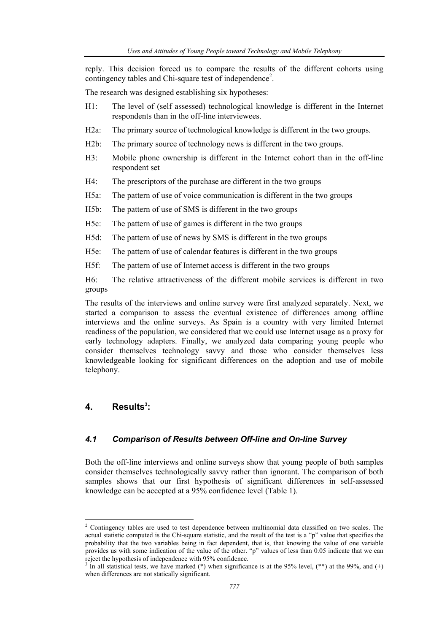reply. This decision forced us to compare the results of the different cohorts using contingency tables and Chi-square test of independence<sup>2</sup>.

The research was designed establishing six hypotheses:

- H1: The level of (self assessed) technological knowledge is different in the Internet respondents than in the off-line interviewees.
- H2a: The primary source of technological knowledge is different in the two groups.
- H2b: The primary source of technology news is different in the two groups.
- H3: Mobile phone ownership is different in the Internet cohort than in the off-line respondent set
- H4: The prescriptors of the purchase are different in the two groups
- H5a: The pattern of use of voice communication is different in the two groups
- H5b: The pattern of use of SMS is different in the two groups
- H5c: The pattern of use of games is different in the two groups
- H5d: The pattern of use of news by SMS is different in the two groups
- H5e: The pattern of use of calendar features is different in the two groups
- H5f: The pattern of use of Internet access is different in the two groups

H6: The relative attractiveness of the different mobile services is different in two groups

The results of the interviews and online survey were first analyzed separately. Next, we started a comparison to assess the eventual existence of differences among offline interviews and the online surveys. As Spain is a country with very limited Internet readiness of the population, we considered that we could use Internet usage as a proxy for early technology adapters. Finally, we analyzed data comparing young people who consider themselves technology savvy and those who consider themselves less knowledgeable looking for significant differences on the adoption and use of mobile telephony.

#### 4. Results<sup>3</sup>:

#### *4.1 Comparison of Results between Off-line and On-line Survey*

Both the off-line interviews and online surveys show that young people of both samples consider themselves technologically savvy rather than ignorant. The comparison of both samples shows that our first hypothesis of significant differences in self-assessed knowledge can be accepted at a 95% confidence level (Table 1).

 2 Contingency tables are used to test dependence between multinomial data classified on two scales. The actual statistic computed is the Chi-square statistic, and the result of the test is a "p" value that specifies the probability that the two variables being in fact dependent, that is, that knowing the value of one variable provides us with some indication of the value of the other. "p" values of less than 0.05 indicate that we can reject the hypothesis of independence with 95% confidence.<br> $3 \text{ In all statistical test, we have marked (*) when significant$ 

In all statistical tests, we have marked (\*) when significance is at the 95% level, (\*\*) at the 99%, and (+) when differences are not statically significant.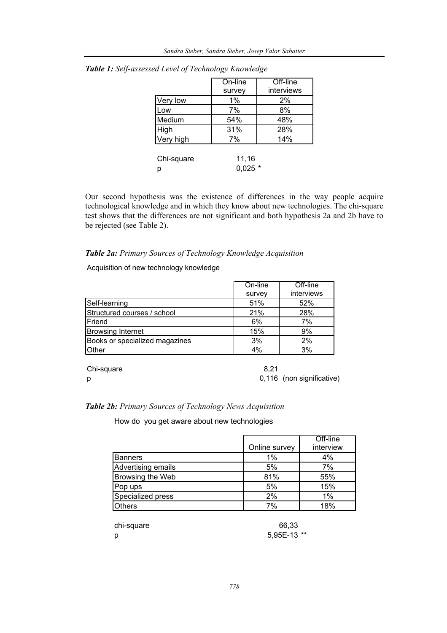|            | On-line | Off-line   |
|------------|---------|------------|
|            | survey  | interviews |
| Very low   | 1%      | 2%         |
| .ow        | 7%      | 8%         |
| Medium     | 54%     | 48%        |
| High       | 31%     | 28%        |
| Very high  | 7%      | 14%        |
|            |         |            |
| Chi-square | 11,16   |            |
| р          | 0.025   |            |

|  | Table 1: Self-assessed Level of Technology Knowledge |  |  |  |
|--|------------------------------------------------------|--|--|--|
|  |                                                      |  |  |  |

Our second hypothesis was the existence of differences in the way people acquire technological knowledge and in which they know about new technologies. The chi-square test shows that the differences are not significant and both hypothesis 2a and 2b have to be rejected (see Table 2).

#### *Table 2a: Primary Sources of Technology Knowledge Acquisition*

Acquisition of new technology knowledge

|                                | On-line | Off-line   |
|--------------------------------|---------|------------|
|                                | survey  | interviews |
| Self-learning                  | 51%     | 52%        |
| Structured courses / school    | 21%     | 28%        |
| Friend                         | 6%      | 7%         |
| <b>Browsing Internet</b>       | 15%     | 9%         |
| Books or specialized magazines | 3%      | 2%         |
| .Other                         | 4%      | 3%         |
|                                |         |            |

| Chi-square | 8.21                      |
|------------|---------------------------|
|            | 0,116 (non significative) |

#### *Table 2b: Primary Sources of Technology News Acquisition*

How do you get aware about new technologies

|                    |               | Off-line  |
|--------------------|---------------|-----------|
|                    | Online survey | interview |
| Banners            | $1\%$         | 4%        |
| Advertising emails | 5%            | 7%        |
| Browsing the Web   | 81%           | 55%       |
| Pop ups            | 5%            | 15%       |
| Specialized press  | 2%            | $1\%$     |
| Others             | 7%            | 18%       |

chi-square 66,33

p 5,95E-13 \*\*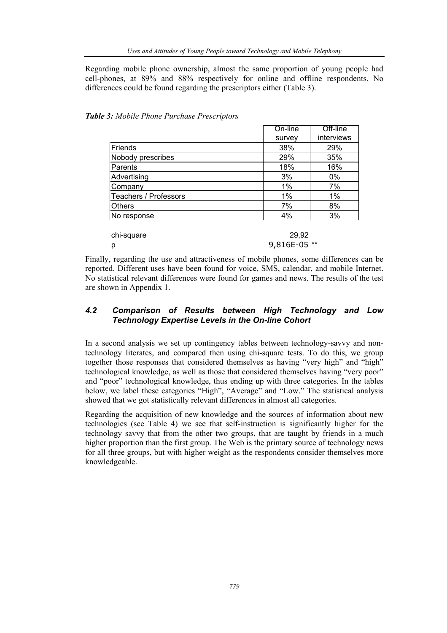Regarding mobile phone ownership, almost the same proportion of young people had cell-phones, at 89% and 88% respectively for online and offline respondents. No differences could be found regarding the prescriptors either (Table 3).

|                              | On-line | Off-line   |
|------------------------------|---------|------------|
|                              | survey  | interviews |
| Friends                      | 38%     | 29%        |
| Nobody prescribes            | 29%     | 35%        |
| Parents                      | 18%     | 16%        |
| Advertising                  | 3%      | 0%         |
| Company                      | 1%      | 7%         |
| <b>Teachers / Professors</b> | 1%      | 1%         |
| <b>Others</b>                | 7%      | 8%         |
| No response                  | 4%      | 3%         |

*Table 3: Mobile Phone Purchase Prescriptors* 

| chi-square | 29.92        |
|------------|--------------|
| D          | 9,816E-05 ** |

Finally, regarding the use and attractiveness of mobile phones, some differences can be reported. Different uses have been found for voice, SMS, calendar, and mobile Internet. No statistical relevant differences were found for games and news. The results of the test are shown in Appendix 1.

#### *4.2 Comparison of Results between High Technology and Low Technology Expertise Levels in the On-line Cohort*

In a second analysis we set up contingency tables between technology-savvy and nontechnology literates, and compared then using chi-square tests. To do this, we group together those responses that considered themselves as having "very high" and "high" technological knowledge, as well as those that considered themselves having "very poor" and "poor" technological knowledge, thus ending up with three categories. In the tables below, we label these categories "High", "Average" and "Low." The statistical analysis showed that we got statistically relevant differences in almost all categories.

Regarding the acquisition of new knowledge and the sources of information about new technologies (see Table 4) we see that self-instruction is significantly higher for the technology savvy that from the other two groups, that are taught by friends in a much higher proportion than the first group. The Web is the primary source of technology news for all three groups, but with higher weight as the respondents consider themselves more knowledgeable.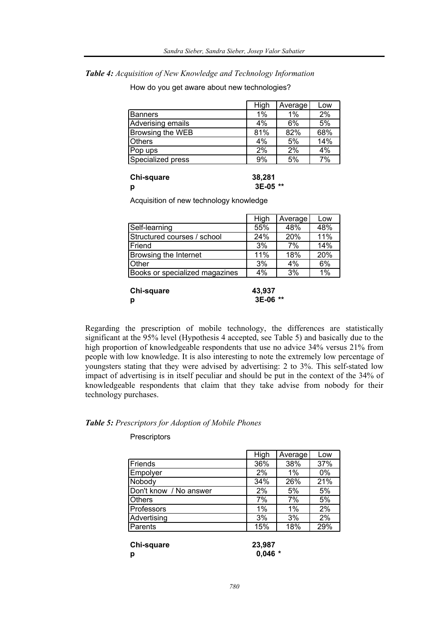*Table 4: Acquisition of New Knowledge and Technology Information* 

How do you get aware about new technologies?

|                   | High  | Average | Low |
|-------------------|-------|---------|-----|
| Banners           | $1\%$ | $1\%$   | 2%  |
| Adverising emails | 4%    | 6%      | 5%  |
| Browsing the WEB  | 81%   | 82%     | 68% |
| <b>Others</b>     | 4%    | 5%      | 14% |
| Pop ups           | 2%    | 2%      | 4%  |
| Specialized press | 9%    | 5%      | 7%  |

| Chi-square | 38,281   |
|------------|----------|
| р          | 3E-05 ** |

Acquisition of new technology knowledge

|                                | High | Average | Low |
|--------------------------------|------|---------|-----|
| Self-learning                  | 55%  | 48%     | 48% |
| Structured courses / school    | 24%  | 20%     | 11% |
| <b> Friend</b>                 | 3%   | 7%      | 14% |
| Browsing the Internet          | 11%  | 18%     | 20% |
| <b>Other</b>                   | 3%   | 4%      | 6%  |
| Books or specialized magazines | 4%   | 3%      | 1%  |

| Chi-square | 43,937   |
|------------|----------|
| р          | 3E-06 ** |

Regarding the prescription of mobile technology, the differences are statistically significant at the 95% level (Hypothesis 4 accepted, see Table 5) and basically due to the high proportion of knowledgeable respondents that use no advice 34% versus 21% from people with low knowledge. It is also interesting to note the extremely low percentage of youngsters stating that they were advised by advertising: 2 to 3%. This self-stated low impact of advertising is in itself peculiar and should be put in the context of the 34% of knowledgeable respondents that claim that they take advise from nobody for their technology purchases.

#### *Table 5: Prescriptors for Adoption of Mobile Phones*

#### **Prescriptors**

|                        | High | Average | Low |
|------------------------|------|---------|-----|
| Friends                | 36%  | 38%     | 37% |
| Empolyer               | 2%   | 1%      | 0%  |
| Nobody                 | 34%  | 26%     | 21% |
| Don't know / No answer | 2%   | 5%      | 5%  |
| <b>Others</b>          | 7%   | 7%      | 5%  |
| Professors             | 1%   | 1%      | 2%  |
| Advertising            | 3%   | 3%      | 2%  |
| Parents                | 15%  | 18%     | 29% |
|                        |      |         |     |

| Chi-square | 23,987    |
|------------|-----------|
| р          | $0,046$ * |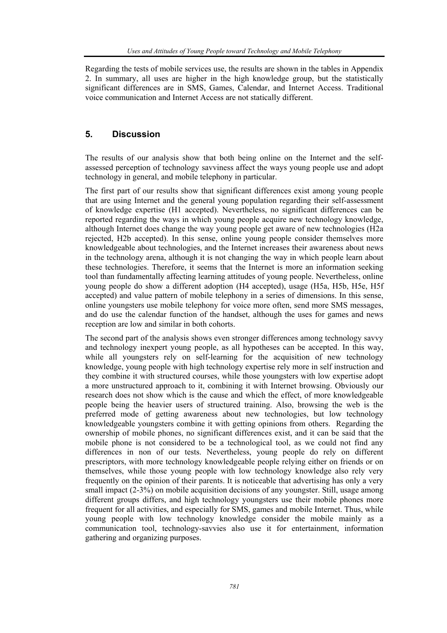Regarding the tests of mobile services use, the results are shown in the tables in Appendix 2. In summary, all uses are higher in the high knowledge group, but the statistically significant differences are in SMS, Games, Calendar, and Internet Access. Traditional voice communication and Internet Access are not statically different.

#### **5. Discussion**

The results of our analysis show that both being online on the Internet and the selfassessed perception of technology savviness affect the ways young people use and adopt technology in general, and mobile telephony in particular.

The first part of our results show that significant differences exist among young people that are using Internet and the general young population regarding their self-assessment of knowledge expertise (H1 accepted). Nevertheless, no significant differences can be reported regarding the ways in which young people acquire new technology knowledge, although Internet does change the way young people get aware of new technologies (H2a rejected, H2b accepted). In this sense, online young people consider themselves more knowledgeable about technologies, and the Internet increases their awareness about news in the technology arena, although it is not changing the way in which people learn about these technologies. Therefore, it seems that the Internet is more an information seeking tool than fundamentally affecting learning attitudes of young people. Nevertheless, online young people do show a different adoption (H4 accepted), usage (H5a, H5b, H5e, H5f accepted) and value pattern of mobile telephony in a series of dimensions. In this sense, online youngsters use mobile telephony for voice more often, send more SMS messages, and do use the calendar function of the handset, although the uses for games and news reception are low and similar in both cohorts.

The second part of the analysis shows even stronger differences among technology savvy and technology inexpert young people, as all hypotheses can be accepted. In this way, while all youngsters rely on self-learning for the acquisition of new technology knowledge, young people with high technology expertise rely more in self instruction and they combine it with structured courses, while those youngsters with low expertise adopt a more unstructured approach to it, combining it with Internet browsing. Obviously our research does not show which is the cause and which the effect, of more knowledgeable people being the heavier users of structured training. Also, browsing the web is the preferred mode of getting awareness about new technologies, but low technology knowledgeable youngsters combine it with getting opinions from others. Regarding the ownership of mobile phones, no significant differences exist, and it can be said that the mobile phone is not considered to be a technological tool, as we could not find any differences in non of our tests. Nevertheless, young people do rely on different prescriptors, with more technology knowledgeable people relying either on friends or on themselves, while those young people with low technology knowledge also rely very frequently on the opinion of their parents. It is noticeable that advertising has only a very small impact (2-3%) on mobile acquisition decisions of any youngster. Still, usage among different groups differs, and high technology youngsters use their mobile phones more frequent for all activities, and especially for SMS, games and mobile Internet. Thus, while young people with low technology knowledge consider the mobile mainly as a communication tool, technology-savvies also use it for entertainment, information gathering and organizing purposes.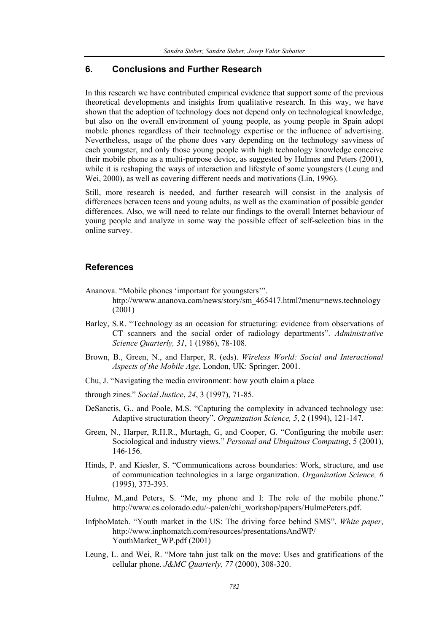#### **6. Conclusions and Further Research**

In this research we have contributed empirical evidence that support some of the previous theoretical developments and insights from qualitative research. In this way, we have shown that the adoption of technology does not depend only on technological knowledge, but also on the overall environment of young people, as young people in Spain adopt mobile phones regardless of their technology expertise or the influence of advertising. Nevertheless, usage of the phone does vary depending on the technology savviness of each youngster, and only those young people with high technology knowledge conceive their mobile phone as a multi-purpose device, as suggested by Hulmes and Peters (2001), while it is reshaping the ways of interaction and lifestyle of some youngsters (Leung and Wei, 2000), as well as covering different needs and motivations (Lin, 1996).

Still, more research is needed, and further research will consist in the analysis of differences between teens and young adults, as well as the examination of possible gender differences. Also, we will need to relate our findings to the overall Internet behaviour of young people and analyze in some way the possible effect of self-selection bias in the online survey.

#### **References**

- Ananova. "Mobile phones 'important for youngsters'". http://wwww.ananova.com/news/story/sm\_465417.html?menu=news.technology (2001)
- Barley, S.R. "Technology as an occasion for structuring: evidence from observations of CT scanners and the social order of radiology departments". *Administrative Science Quarterly, 31*, 1 (1986), 78-108.
- Brown, B., Green, N., and Harper, R. (eds). *Wireless World: Social and Interactional Aspects of the Mobile Age*, London, UK: Springer, 2001.
- Chu, J. "Navigating the media environment: how youth claim a place
- through zines." *Social Justice*, *24*, 3 (1997), 71-85.
- DeSanctis, G., and Poole, M.S. "Capturing the complexity in advanced technology use: Adaptive structuration theory". *Organization Science, 5*, 2 (1994), 121-147.
- Green, N., Harper, R.H.R., Murtagh, G, and Cooper, G. "Configuring the mobile user: Sociological and industry views." *Personal and Ubiquitous Computing*, 5 (2001), 146-156.
- Hinds, P. and Kiesler, S. "Communications across boundaries: Work, structure, and use of communication technologies in a large organization. *Organization Science, 6* (1995), 373-393.
- Hulme, M., and Peters, S. "Me, my phone and I: The role of the mobile phone." http://www.cs.colorado.edu/~palen/chi\_workshop/papers/HulmePeters.pdf.
- InfphoMatch. "Youth market in the US: The driving force behind SMS". *White paper*, http://www.inphomatch.com/resources/presentationsAndWP/ YouthMarket\_WP.pdf (2001)
- Leung, L. and Wei, R. "More tahn just talk on the move: Uses and gratifications of the cellular phone. *J&MC Quarterly, 77* (2000), 308-320.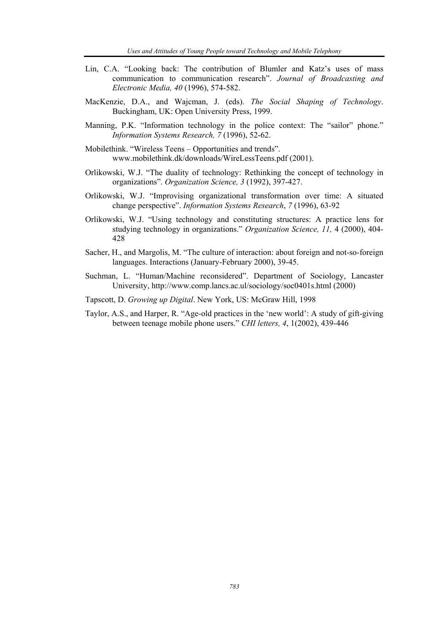- Lin, C.A. "Looking back: The contribution of Blumler and Katz's uses of mass communication to communication research". *Journal of Broadcasting and Electronic Media, 40* (1996), 574-582.
- MacKenzie, D.A., and Wajcman, J. (eds). *The Social Shaping of Technology*. Buckingham, UK: Open University Press, 1999.
- Manning, P.K. "Information technology in the police context: The "sailor" phone." *Information Systems Research, 7* (1996), 52-62.
- Mobilethink. "Wireless Teens Opportunities and trends". www.mobilethink.dk/downloads/WireLessTeens.pdf (2001).
- Orlikowski, W.J. "The duality of technology: Rethinking the concept of technology in organizations". *Organization Science, 3* (1992), 397-427.
- Orlikowski, W.J. "Improvising organizational transformation over time: A situated change perspective". *Information Systems Research*, *7* (1996), 63-92
- Orlikowski, W.J. "Using technology and constituting structures: A practice lens for studying technology in organizations." *Organization Science, 11,* 4 (2000), 404- 428
- Sacher, H., and Margolis, M. "The culture of interaction: about foreign and not-so-foreign languages. Interactions (January-February 2000), 39-45.
- Suchman, L. "Human/Machine reconsidered". Department of Sociology, Lancaster University, http://www.comp.lancs.ac.ul/sociology/soc0401s.html (2000)
- Tapscott, D. *Growing up Digital*. New York, US: McGraw Hill, 1998
- Taylor, A.S., and Harper, R. "Age-old practices in the 'new world': A study of gift-giving between teenage mobile phone users." *CHI letters, 4*, 1(2002), 439-446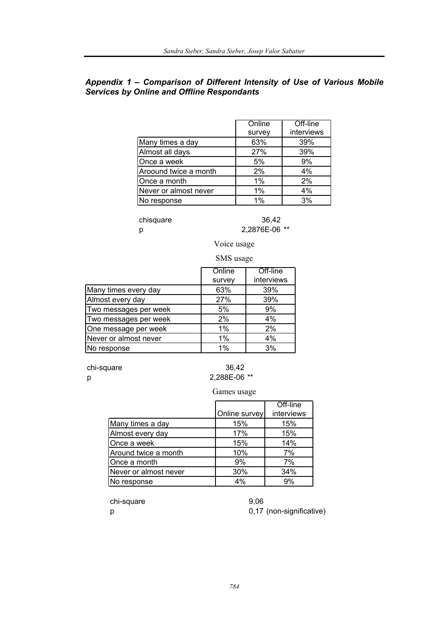#### *Appendix 1 – Comparison of Different Intensity of Use of Various Mobile Services by Online and Offline Respondants*

|                       | Online | Off-line   |
|-----------------------|--------|------------|
|                       | survey | interviews |
| Many times a day      | 63%    | 39%        |
| Almost all days       | 27%    | 39%        |
| Once a week           | 5%     | 9%         |
| Aroound twice a month | 2%     | 4%         |
| Once a month          | 1%     | 2%         |
| Never or almost never | $1\%$  | 4%         |
| No response           | $1\%$  | 3%         |

#### chisquare 36,42 p 2,2876E-06 \*\*

Voice usage

#### SMS usage

|                       | Online | Off-line   |
|-----------------------|--------|------------|
|                       | survey | interviews |
| Many times every day  | 63%    | 39%        |
| Almost every day      | 27%    | 39%        |
| Two messages per week | 5%     | 9%         |
| Two messages per week | 2%     | 4%         |
| One message per week  | 1%     | 2%         |
| Never or almost never | 1%     | 4%         |
| No response           | $1\%$  | 3%         |

chi-square 36,42

# p 2,288E-06 \*\*

#### Games usage

|                       |               | Off-line   |
|-----------------------|---------------|------------|
|                       | Online survey | interviews |
| Many times a day      | 15%           | 15%        |
| Almost every day      | 17%           | 15%        |
| Once a week           | 15%           | 14%        |
| Around twice a month  | 10%           | 7%         |
| Once a month          | 9%            | 7%         |
| Never or almost never | 30%           | 34%        |
| No response           | 4%            | 9%         |

chi-square 9,06

p 0,17 (non-significative)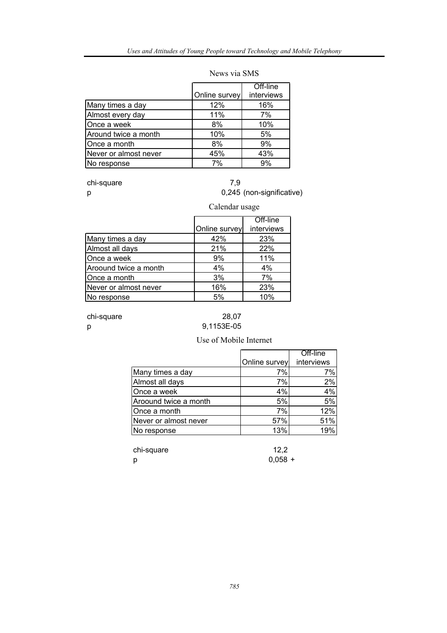|                       |               | Off-line   |
|-----------------------|---------------|------------|
|                       | Online survey | interviews |
| Many times a day      | 12%           | 16%        |
| Almost every day      | 11%           | 7%         |
| Once a week           | 8%            | 10%        |
| Around twice a month  | 10%           | 5%         |
| Once a month          | 8%            | 9%         |
| Never or almost never | 45%           | 43%        |
| No response           | 7%            | 9%         |

#### News via SMS

chi-square 7,9

# p 0,245 (non-significative)

|                       |               | Calendar usage         |  |  |
|-----------------------|---------------|------------------------|--|--|
|                       | Online survey | Off-line<br>interviews |  |  |
| Many times a day      | 42%           | 23%                    |  |  |
| Almost all days       | 21%           | 22%                    |  |  |
| Once a week           | 9%            | 11%                    |  |  |
| Aroound twice a month | 4%            | 4%                     |  |  |
| Once a month          | 3%            | 7%                     |  |  |
| Never or almost never | 16%           | 23%                    |  |  |
| No response           | 5%            | 10%                    |  |  |

chi-square 28,07

# p 9,1153E-05

#### Use of Mobile Internet

|                       |               | Off-line   |
|-----------------------|---------------|------------|
|                       | Online survey | interviews |
| Many times a day      | 7%            | 7%         |
| Almost all days       | 7%            | 2%         |
| Once a week           | 4%            | 4%         |
| Aroound twice a month | 5%            | 5%         |
| Once a month          | 7%            | 12%        |
| Never or almost never | 57%           | 51%        |
| No response           | 13%           | 19%        |

chi-square 12,2 p 0,058 +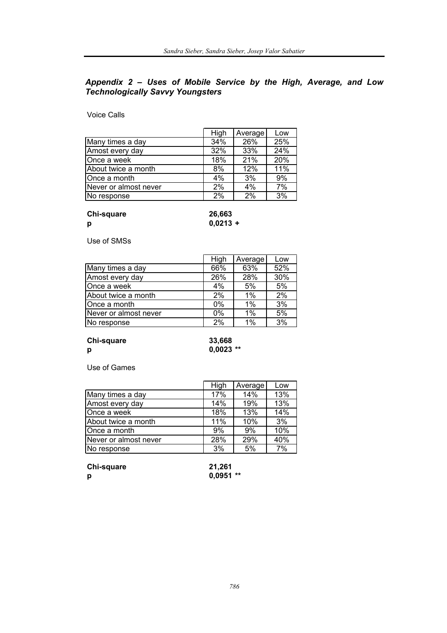#### *Appendix 2 – Uses of Mobile Service by the High, Average, and Low Technologically Savvy Youngsters*

Voice Calls

|                       | High | Average | Low |
|-----------------------|------|---------|-----|
| Many times a day      | 34%  | 26%     | 25% |
| Amost every day       | 32%  | 33%     | 24% |
| Once a week           | 18%  | 21%     | 20% |
| About twice a month   | 8%   | 12%     | 11% |
| Once a month          | 4%   | 3%      | 9%  |
| Never or almost never | 2%   | 4%      | 7%  |
| No response           | 2%   | 2%      | 3%  |

#### **Chi-square 26,663**

**p 0,0213 +**

Use of SMSs

|                       | High | Average | Low |
|-----------------------|------|---------|-----|
| Many times a day      | 66%  | 63%     | 52% |
| Amost every day       | 26%  | 28%     | 30% |
| Once a week           | 4%   | 5%      | 5%  |
| About twice a month   | 2%   | 1%      | 2%  |
| Once a month          | 0%   | $1\%$   | 3%  |
| Never or almost never | 0%   | 1%      | 5%  |
| No response           | 2%   | $1\%$   | 3%  |

#### **Chi-square 33,668 p 0,0023 \*\***

Use of Games

|                       | High | Average | Low |
|-----------------------|------|---------|-----|
| Many times a day      | 17%  | 14%     | 13% |
| Amost every day       | 14%  | 19%     | 13% |
| Once a week           | 18%  | 13%     | 14% |
| About twice a month   | 11%  | 10%     | 3%  |
| Once a month          | 9%   | 9%      | 10% |
| Never or almost never | 28%  | 29%     | 40% |
| No response           | 3%   | 5%      | 7%  |

**Chi-square 21,261**

**p 0,0951 \*\***